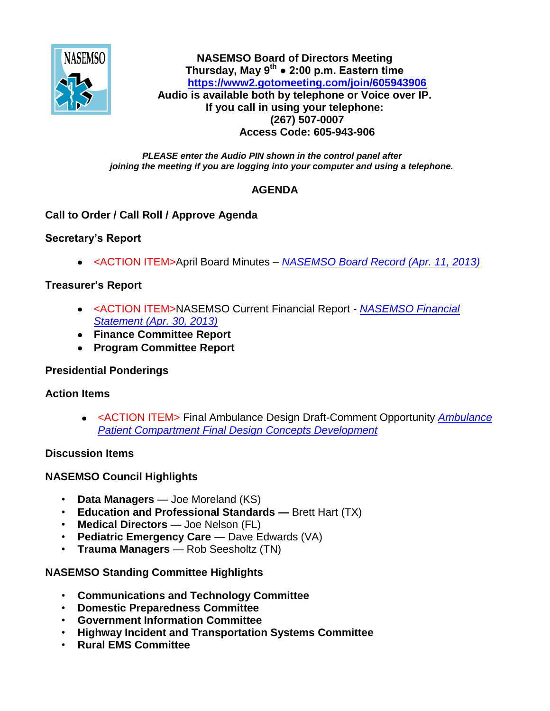

**NASEMSO Board of Directors Meeting Thursday, May 9th ● 2:00 p.m. Eastern time <https://www2.gotomeeting.com/join/605943906> Audio is available both by telephone or Voice over IP. If you call in using your telephone: (267) 507-0007 Access Code: 605-943-906**

#### *PLEASE enter the Audio PIN shown in the control panel after joining the meeting if you are logging into your computer and using a telephone.*

# **AGENDA**

# **Call to Order / Call Roll / Approve Agenda**

# **Secretary's Report**

<ACTION ITEM>April Board Minutes *– [NASEMSO Board Record \(Apr. 11, 2013\)](https://www.nasemso.org/Members/Board/documents/NASEMSO-Board-Record11April2013.pdf)*

# **Treasurer's Report**

- <ACTION ITEM>NASEMSO Current Financial Report *[NASEMSO Financial](https://www.nasemso.org/Members/Board/documents/NASEMSO-Financial-Stmt-30Apr2013.pdf)  [Statement \(Apr. 30, 2013\)](https://www.nasemso.org/Members/Board/documents/NASEMSO-Financial-Stmt-30Apr2013.pdf)*
- **Finance Committee Report**
- **Program Committee Report**

### **Presidential Ponderings**

### **Action Items**

<ACTION ITEM> Final Ambulance Design Draft-Comment Opportunity *[Ambulance](https://www.nasemso.org/Members/Board/documents/Final_Design_Concepts_Development_Report_DRAFT.pdf)  [Patient Compartment Final Design Concepts Development](https://www.nasemso.org/Members/Board/documents/Final_Design_Concepts_Development_Report_DRAFT.pdf)*

### **Discussion Items**

# **NASEMSO Council Highlights**

- **Data Managers**  Joe Moreland (KS)
- **Education and Professional Standards —** Brett Hart (TX)
- **Medical Directors** Joe Nelson (FL)
- **Pediatric Emergency Care** Dave Edwards (VA)
- **Trauma Managers** Rob Seesholtz (TN)

# **NASEMSO Standing Committee Highlights**

- **Communications and Technology Committee**
- **Domestic Preparedness Committee**
- **Government Information Committee**
- **Highway Incident and Transportation Systems Committee**
- **Rural EMS Committee**